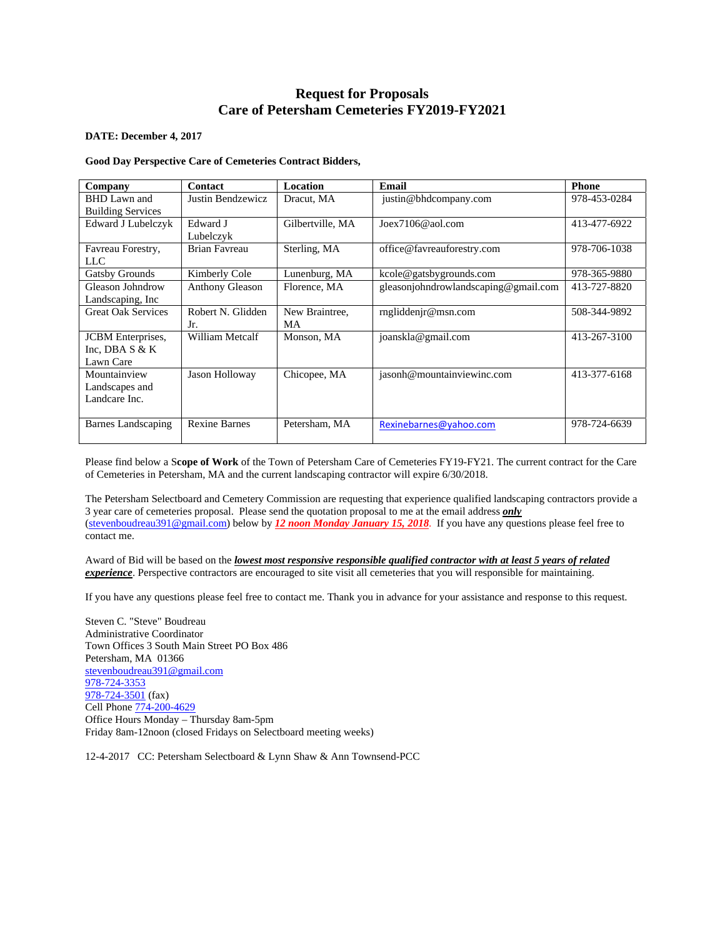# **Request for Proposals Care of Petersham Cemeteries FY2019-FY2021**

#### **DATE: December 4, 2017**

## **Good Day Perspective Care of Cemeteries Contract Bidders,**

| Company                   | <b>Contact</b>         | Location         | Email                                | <b>Phone</b> |
|---------------------------|------------------------|------------------|--------------------------------------|--------------|
| <b>BHD</b> Lawn and       | Justin Bendzewicz      | Dracut, MA       | justin@bhdcompany.com                | 978-453-0284 |
| <b>Building Services</b>  |                        |                  |                                      |              |
| Edward J Lubelczyk        | Edward J               | Gilbertville, MA | $Joex7106@$ aol.com                  | 413-477-6922 |
|                           | Lubelczyk              |                  |                                      |              |
| Favreau Forestry,         | Brian Favreau          | Sterling, MA     | office@favreauforestry.com           | 978-706-1038 |
| LLC                       |                        |                  |                                      |              |
| Gatsby Grounds            | Kimberly Cole          | Lunenburg, MA    | kcole@gatsbygrounds.com              | 978-365-9880 |
| Gleason Johndrow          | <b>Anthony Gleason</b> | Florence, MA     | gleasonjohndrowlandscaping@gmail.com | 413-727-8820 |
| Landscaping, Inc.         |                        |                  |                                      |              |
| <b>Great Oak Services</b> | Robert N. Glidden      | New Braintree,   | rngliddenir@msn.com                  | 508-344-9892 |
|                           | Jr.                    | MA               |                                      |              |
| <b>JCBM</b> Enterprises,  | William Metcalf        | Monson, MA       | joanskla@gmail.com                   | 413-267-3100 |
| Inc. DBA $S & K$          |                        |                  |                                      |              |
| Lawn Care                 |                        |                  |                                      |              |
| Mountainview              | Jason Holloway         | Chicopee, MA     | jasonh@mountainviewinc.com           | 413-377-6168 |
| Landscapes and            |                        |                  |                                      |              |
| Landcare Inc.             |                        |                  |                                      |              |
|                           |                        |                  |                                      |              |
| Barnes Landscaping        | <b>Rexine Barnes</b>   | Petersham, MA    | Rexinebarnes@yahoo.com               | 978-724-6639 |
|                           |                        |                  |                                      |              |

Please find below a S**cope of Work** of the Town of Petersham Care of Cemeteries FY19-FY21. The current contract for the Care of Cemeteries in Petersham, MA and the current landscaping contractor will expire 6/30/2018.

The Petersham Selectboard and Cemetery Commission are requesting that experience qualified landscaping contractors provide a 3 year care of cemeteries proposal. Please send the quotation proposal to me at the email address *only* (stevenboudreau391@gmail.com) below by *12 noon Monday January 15, 2018*. If you have any questions please feel free to contact me.

Award of Bid will be based on the *lowest most responsive responsible qualified contractor with at least 5 years of related experience*. Perspective contractors are encouraged to site visit all cemeteries that you will responsible for maintaining.

If you have any questions please feel free to contact me. Thank you in advance for your assistance and response to this request.

Steven C. "Steve" Boudreau Administrative Coordinator Town Offices 3 South Main Street PO Box 486 Petersham, MA 01366 stevenboudreau391@gmail.com 978-724-3353  $\overline{978-724-3501}$  (fax) Cell Phone 774-200-4629 Office Hours Monday – Thursday 8am-5pm Friday 8am-12noon (closed Fridays on Selectboard meeting weeks)

12-4-2017 CC: Petersham Selectboard & Lynn Shaw & Ann Townsend-PCC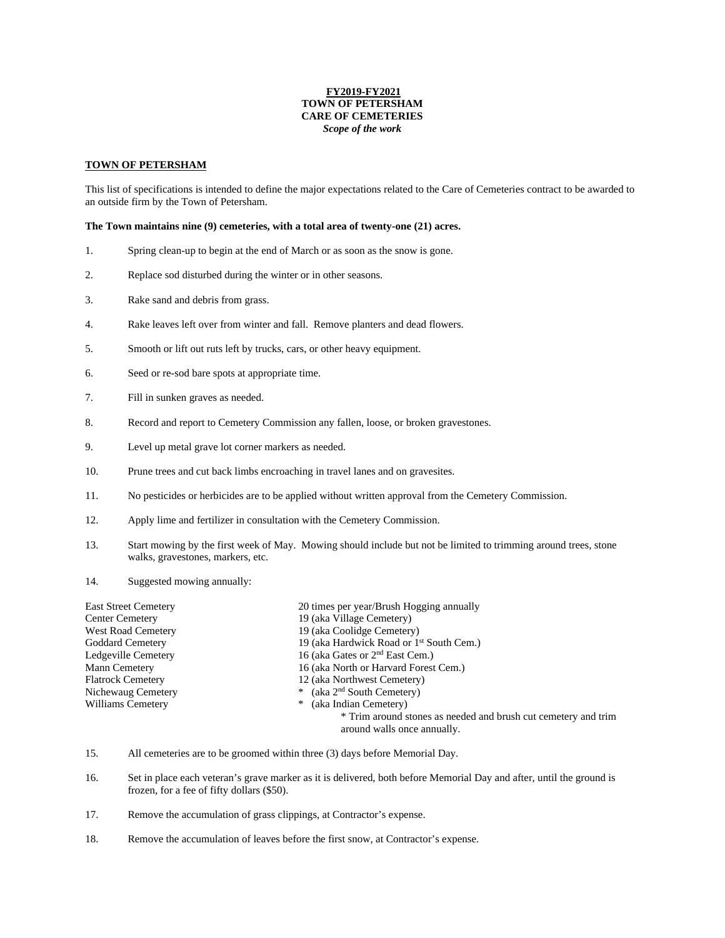## **FY2019-FY2021 TOWN OF PETERSHAM CARE OF CEMETERIES**  *Scope of the work*

### **TOWN OF PETERSHAM**

This list of specifications is intended to define the major expectations related to the Care of Cemeteries contract to be awarded to an outside firm by the Town of Petersham.

#### **The Town maintains nine (9) cemeteries, with a total area of twenty-one (21) acres.**

- 1. Spring clean-up to begin at the end of March or as soon as the snow is gone.
- 2. Replace sod disturbed during the winter or in other seasons.
- 3. Rake sand and debris from grass.
- 4. Rake leaves left over from winter and fall. Remove planters and dead flowers.
- 5. Smooth or lift out ruts left by trucks, cars, or other heavy equipment.
- 6. Seed or re-sod bare spots at appropriate time.
- 7. Fill in sunken graves as needed.
- 8. Record and report to Cemetery Commission any fallen, loose, or broken gravestones.
- 9. Level up metal grave lot corner markers as needed.
- 10. Prune trees and cut back limbs encroaching in travel lanes and on gravesites.
- 11. No pesticides or herbicides are to be applied without written approval from the Cemetery Commission.
- 12. Apply lime and fertilizer in consultation with the Cemetery Commission.
- 13. Start mowing by the first week of May. Mowing should include but not be limited to trimming around trees, stone walks, gravestones, markers, etc.
- 14. Suggested mowing annually:

| <b>East Street Cemetery</b> | 20 times per year/Brush Hogging annually                       |  |
|-----------------------------|----------------------------------------------------------------|--|
| Center Cemetery             | 19 (aka Village Cemetery)                                      |  |
| West Road Cemetery          | 19 (aka Coolidge Cemetery)                                     |  |
| <b>Goddard Cemetery</b>     | 19 (aka Hardwick Road or 1 <sup>st</sup> South Cem.)           |  |
| Ledgeville Cemetery         | 16 (aka Gates or 2 <sup>nd</sup> East Cem.)                    |  |
| Mann Cemetery               | 16 (aka North or Harvard Forest Cem.)                          |  |
| <b>Flatrock Cemetery</b>    | 12 (aka Northwest Cemetery)                                    |  |
| Nichewaug Cemetery          | * (aka $2nd$ South Cemetery)                                   |  |
| Williams Cemetery           | (aka Indian Cemetery)<br>∗                                     |  |
|                             | * Trim around stones as needed and brush cut cemetery and trim |  |
|                             | around walls once annually.                                    |  |

- 15. All cemeteries are to be groomed within three (3) days before Memorial Day.
- 16. Set in place each veteran's grave marker as it is delivered, both before Memorial Day and after, until the ground is frozen, for a fee of fifty dollars (\$50).
- 17. Remove the accumulation of grass clippings, at Contractor's expense.
- 18. Remove the accumulation of leaves before the first snow, at Contractor's expense.